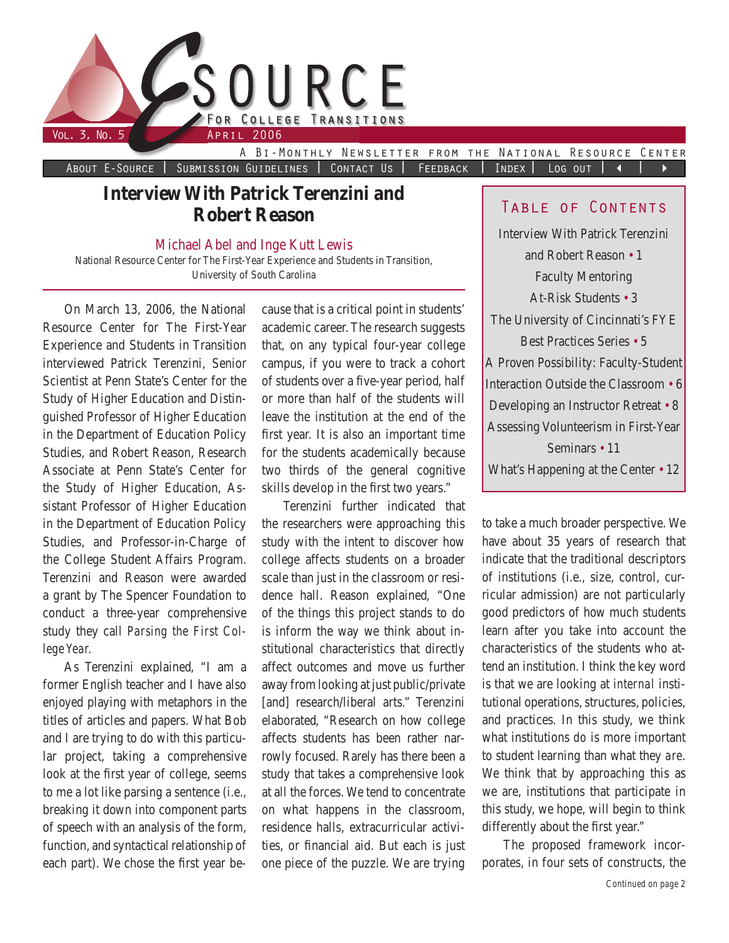

About E-Source | Submission Guidelines | Contact Us | FEEDBACK | INDEX | LOG OUT | 4 |

# **Interview With Patrick Terenzini and Robert Reason**

Michael Abel and Inge Kutt Lewis

National Resource Center for The First-Year Experience and Students in Transition, University of South Carolina

On March 13, 2006, the National Resource Center for The First-Year Experience and Students in Transition interviewed Patrick Terenzini, Senior Scientist at Penn State's Center for the Study of Higher Education and Distinguished Professor of Higher Education in the Department of Education Policy Studies, and Robert Reason, Research Associate at Penn State's Center for the Study of Higher Education, Assistant Professor of Higher Education in the Department of Education Policy Studies, and Professor-in-Charge of the College Student Affairs Program. Terenzini and Reason were awarded a grant by The Spencer Foundation to conduct a three-year comprehensive study they call *Parsing the First College Year.*

As Terenzini explained, "I am a former English teacher and I have also enjoyed playing with metaphors in the titles of articles and papers. What Bob and I are trying to do with this particular project, taking a comprehensive look at the first year of college, seems to me a lot like parsing a sentence (i.e., breaking it down into component parts of speech with an analysis of the form, function, and syntactical relationship of each part). We chose the first year because that is a critical point in students' academic career. The research suggests that, on any typical four-year college campus, if you were to track a cohort of students over a five-year period, half or more than half of the students will leave the institution at the end of the first year. It is also an important time for the students academically because two thirds of the general cognitive skills develop in the first two years."

Terenzini further indicated that the researchers were approaching this study with the intent to discover how college affects students on a broader scale than just in the classroom or residence hall. Reason explained, "One of the things this project stands to do is inform the way we think about institutional characteristics that directly affect outcomes and move us further away from looking at just public/private [and] research/liberal arts." Terenzini elaborated, "Research on how college affects students has been rather narrowly focused. Rarely has there been a study that takes a comprehensive look at all the forces. We tend to concentrate on what happens in the classroom, residence halls, extracurricular activities, or financial aid. But each is just one piece of the puzzle. We are trying

## Table of Contents

Interview With Patrick Terenzini and Robert Reason • 1 Faculty Mentoring At-Risk Students • 3 The University of Cincinnati's FYE Best Practices Series • 5 A Proven Possibility: Faculty-Student Interaction Outside the Classroom • 6 Developing an Instructor Retreat • 8 Assessing Volunteerism in First-Year Seminars • 11 What's Happening at the Center • 12

to take a much broader perspective. We have about 35 years of research that indicate that the traditional descriptors of institutions (i.e., size, control, curricular admission) are not particularly good predictors of how much students learn after you take into account the characteristics of the students who attend an institution. I think the key word is that we are looking at *internal* institutional operations, structures, policies, and practices. In this study, we think what institutions *do* is more important to student learning than what they *are*. We think that by approaching this as we are, institutions that participate in this study, we hope, will begin to think differently about the first year."

The proposed framework incorporates, in four sets of constructs, the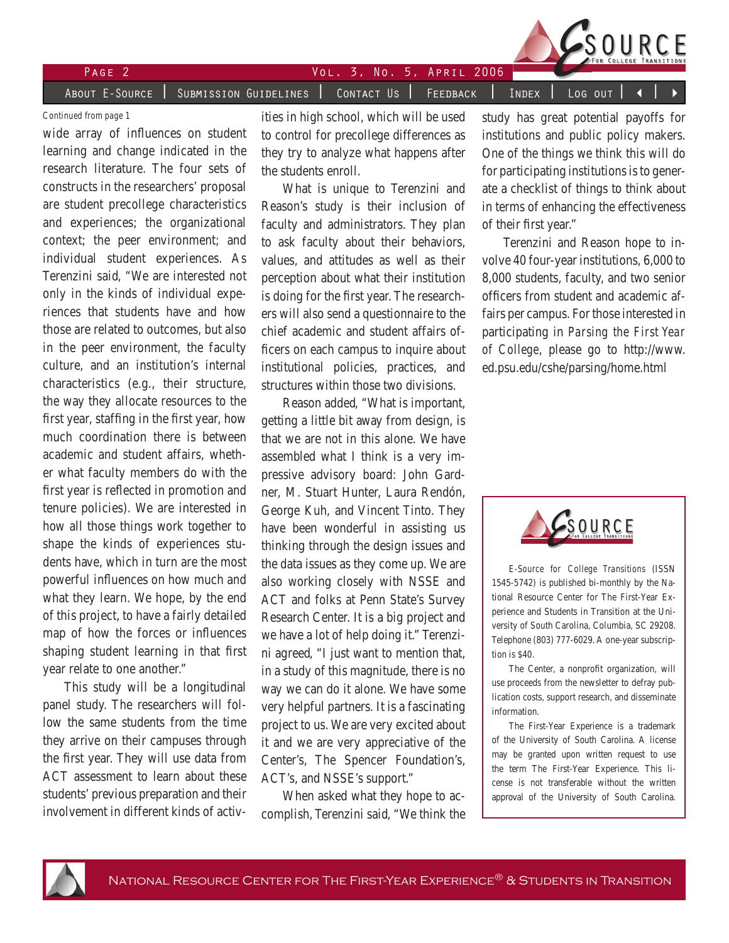|          | SOURCE                                                                                   |
|----------|------------------------------------------------------------------------------------------|
| $PAGF$ 2 | $V$ ol. 3, No. 5, $APRIL$ 2006 $\blacksquare$                                            |
|          | ABOUT E-SOURCE   SUBMISSION GUIDELINES   CONTACT US   FEEDBACK   INDEX   LOG OUT   4   > |

#### *Continued from page 1*

wide array of influences on student learning and change indicated in the research literature. The four sets of constructs in the researchers' proposal are student precollege characteristics and experiences; the organizational context; the peer environment; and individual student experiences. As Terenzini said, "We are interested not only in the kinds of individual experiences that students have and how those are related to outcomes, but also in the peer environment, the faculty culture, and an institution's internal characteristics (e.g., their structure, the way they allocate resources to the first year, staffing in the first year, how much coordination there is between academic and student affairs, whether what faculty members do with the first year is reflected in promotion and tenure policies). We are interested in how all those things work together to shape the kinds of experiences students have, which in turn are the most powerful influences on how much and what they learn. We hope, by the end of this project, to have a fairly detailed map of how the forces or influences shaping student learning in that first year relate to one another."

This study will be a longitudinal panel study. The researchers will follow the same students from the time they arrive on their campuses through the first year. They will use data from ACT assessment to learn about these students' previous preparation and their involvement in different kinds of activities in high school, which will be used to control for precollege differences as they try to analyze what happens after the students enroll.

What is unique to Terenzini and Reason's study is their inclusion of faculty and administrators. They plan to ask faculty about their behaviors, values, and attitudes as well as their perception about what their institution is doing for the first year. The researchers will also send a questionnaire to the chief academic and student affairs officers on each campus to inquire about institutional policies, practices, and structures within those two divisions.

Reason added, "What is important, getting a little bit away from design, is that we are not in this alone. We have assembled what I think is a very impressive advisory board: John Gardner, M. Stuart Hunter, Laura Rendón, George Kuh, and Vincent Tinto. They have been wonderful in assisting us thinking through the design issues and the data issues as they come up. We are also working closely with NSSE and ACT and folks at Penn State's Survey Research Center. It is a big project and we have a lot of help doing it." Terenzini agreed, "I just want to mention that, in a study of this magnitude, there is no way we can do it alone. We have some very helpful partners. It is a fascinating project to us. We are very excited about it and we are very appreciative of the Center's, The Spencer Foundation's, ACT's, and NSSE's support."

When asked what they hope to accomplish, Terenzini said, "We think the

study has great potential payoffs for institutions and public policy makers. One of the things we think this will do for participating institutions is to generate a checklist of things to think about in terms of enhancing the effectiveness of their first year."

Terenzini and Reason hope to involve 40 four-year institutions, 6,000 to 8,000 students, faculty, and two senior officers from student and academic affairs per campus. For those interested in participating in *Parsing the First Year of College*, please go to http://www. ed.psu.edu/cshe/parsing/home.html



*E-Source for College Transitions* (ISSN 1545-5742) is published bi-monthly by the National Resource Center for The First-Year Experience and Students in Transition at the University of South Carolina, Columbia, SC 29208. Telephone (803) 777-6029. A one-year subscription is \$40.

The Center, a nonprofit organization, will use proceeds from the newsletter to defray publication costs, support research, and disseminate information.

The First-Year Experience is a trademark of the University of South Carolina. A license may be granted upon written request to use the term The First-Year Experience. This license is not transferable without the written approval of the University of South Carolina.

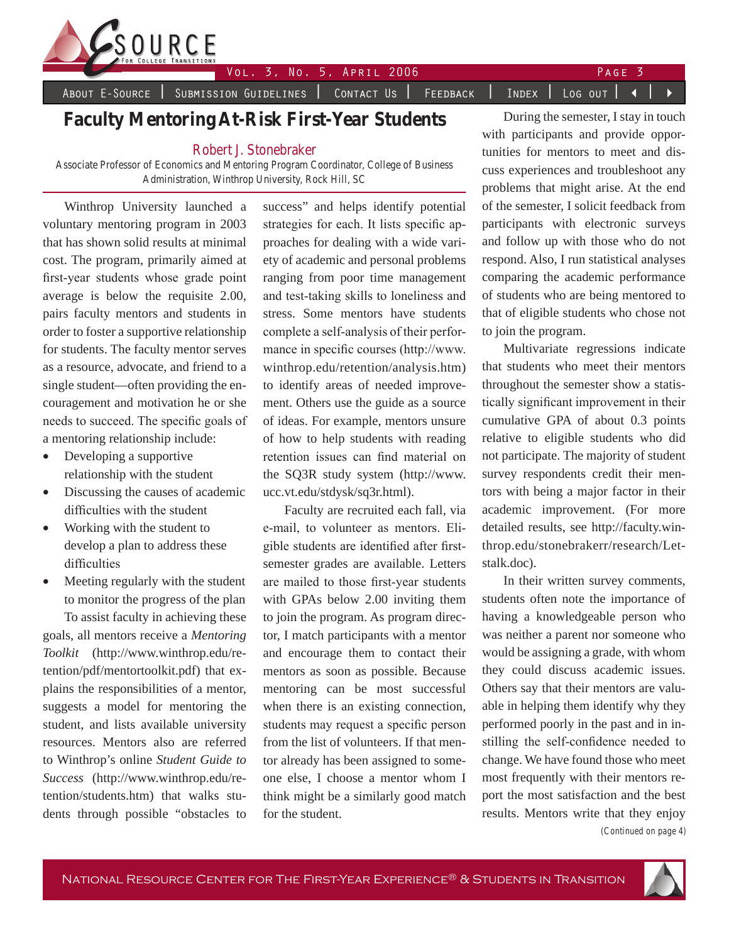

Vol. 3, No. 5, April 2006 Page

About E-Source | Submission Guidelines | Contact Us | Feedback | Index | Log out |  $\blacktriangleleft$  |

# **Faculty Mentoring At-Risk First-Year Students**

## Robert J. Stonebraker

Associate Professor of Economics and Mentoring Program Coordinator, College of Business Administration, Winthrop University, Rock Hill, SC

Winthrop University launched a voluntary mentoring program in 2003 that has shown solid results at minimal cost. The program, primarily aimed at first-year students whose grade point average is below the requisite 2.00, pairs faculty mentors and students in order to foster a supportive relationship for students. The faculty mentor serves as a resource, advocate, and friend to a single student—often providing the encouragement and motivation he or she needs to succeed. The specific goals of a mentoring relationship include:

- Developing a supportive relationship with the student
- Discussing the causes of academic difficulties with the student
- Working with the student to develop a plan to address these difficulties
- Meeting regularly with the student to monitor the progress of the plan

To assist faculty in achieving these goals, all mentors receive a *Mentoring Toolkit* (http://www.winthrop.edu/retention/pdf/mentortoolkit.pdf) that explains the responsibilities of a mentor, suggests a model for mentoring the student, and lists available university resources. Mentors also are referred to Winthrop's online *Student Guide to Success* (http://www.winthrop.edu/retention/students.htm) that walks students through possible "obstacles to success" and helps identify potential strategies for each. It lists specific approaches for dealing with a wide variety of academic and personal problems ranging from poor time management and test-taking skills to loneliness and stress. Some mentors have students complete a self-analysis of their performance in specific courses (http://www. winthrop.edu/retention/analysis.htm) to identify areas of needed improvement. Others use the guide as a source of ideas. For example, mentors unsure of how to help students with reading retention issues can find material on the SQ3R study system (http://www. ucc.vt.edu/stdysk/sq3r.html).

Faculty are recruited each fall, via e-mail, to volunteer as mentors. Eligible students are identified after firstsemester grades are available. Letters are mailed to those first-year students with GPAs below 2.00 inviting them to join the program. As program director, I match participants with a mentor and encourage them to contact their mentors as soon as possible. Because mentoring can be most successful when there is an existing connection, students may request a specific person from the list of volunteers. If that mentor already has been assigned to someone else, I choose a mentor whom I think might be a similarly good match for the student.

During the semester, I stay in touch with participants and provide opportunities for mentors to meet and discuss experiences and troubleshoot any problems that might arise. At the end of the semester, I solicit feedback from participants with electronic surveys and follow up with those who do not respond. Also, I run statistical analyses comparing the academic performance of students who are being mentored to that of eligible students who chose not to join the program.

Multivariate regressions indicate that students who meet their mentors throughout the semester show a statistically significant improvement in their cumulative GPA of about 0.3 points relative to eligible students who did not participate. The majority of student survey respondents credit their mentors with being a major factor in their academic improvement. (For more detailed results, see http://faculty.winthrop.edu/stonebrakerr/research/Letstalk.doc).

*(Continued on page 4)* In their written survey comments, students often note the importance of having a knowledgeable person who was neither a parent nor someone who would be assigning a grade, with whom they could discuss academic issues. Others say that their mentors are valuable in helping them identify why they performed poorly in the past and in instilling the self-confidence needed to change. We have found those who meet most frequently with their mentors report the most satisfaction and the best results. Mentors write that they enjoy

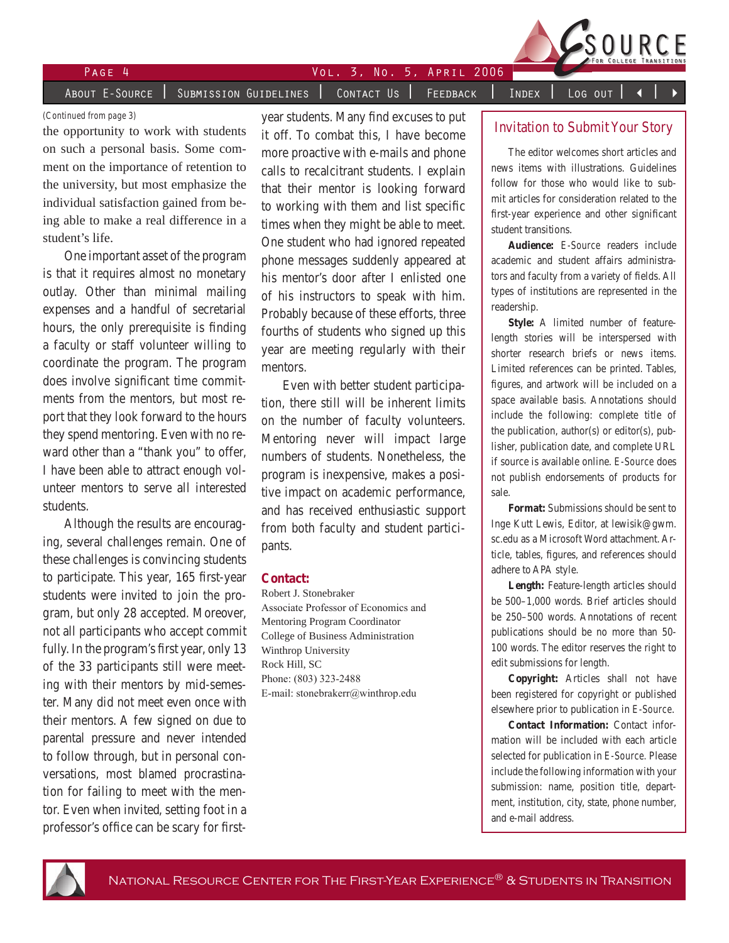

PAGE 4 VOL. 3, NO. 5, APRIL 2006

About E-Source | Submission Guidelines | Contact Us | Feedback | Index | Log out

#### *(Continued from page 3)*

the opportunity to work with students on such a personal basis. Some comment on the importance of retention to the university, but most emphasize the individual satisfaction gained from being able to make a real difference in a student's life.

One important asset of the program is that it requires almost no monetary outlay. Other than minimal mailing expenses and a handful of secretarial hours, the only prerequisite is finding a faculty or staff volunteer willing to coordinate the program. The program does involve significant time commitments from the mentors, but most report that they look forward to the hours they spend mentoring. Even with no reward other than a "thank you" to offer, I have been able to attract enough volunteer mentors to serve all interested students.

Although the results are encouraging, several challenges remain. One of these challenges is convincing students to participate. This year, 165 first-year students were invited to join the program, but only 28 accepted. Moreover, not all participants who accept commit fully. In the program's first year, only 13 of the 33 participants still were meeting with their mentors by mid-semester. Many did not meet even once with their mentors. A few signed on due to parental pressure and never intended to follow through, but in personal conversations, most blamed procrastination for failing to meet with the mentor. Even when invited, setting foot in a professor's office can be scary for firstyear students. Many find excuses to put it off. To combat this, I have become more proactive with e-mails and phone calls to recalcitrant students. I explain that their mentor is looking forward to working with them and list specific times when they might be able to meet. One student who had ignored repeated phone messages suddenly appeared at his mentor's door after I enlisted one of his instructors to speak with him. Probably because of these efforts, three fourths of students who signed up this year are meeting regularly with their mentors.

Even with better student participation, there still will be inherent limits on the number of faculty volunteers. Mentoring never will impact large numbers of students. Nonetheless, the program is inexpensive, makes a positive impact on academic performance, and has received enthusiastic support from both faculty and student participants.

#### **Contact:**

Robert J. Stonebraker Associate Professor of Economics and Mentoring Program Coordinator College of Business Administration Winthrop University Rock Hill, SC Phone: (803) 323-2488 E-mail: stonebrakerr@winthrop.edu

#### Invitation to Submit Your Story

The editor welcomes short articles and news items with illustrations. Guidelines follow for those who would like to submit articles for consideration related to the first-year experience and other significant student transitions.

**Audience:** *E-Source* readers include academic and student affairs administrators and faculty from a variety of fields. All types of institutions are represented in the readership.

**Style:** A limited number of featurelength stories will be interspersed with shorter research briefs or news items. Limited references can be printed. Tables, figures, and artwork will be included on a space available basis. Annotations should include the following: complete title of the publication, author(s) or editor(s), publisher, publication date, and complete URL if source is available online. *E-Source* does not publish endorsements of products for sale.

**Format:** Submissions should be sent to Inge Kutt Lewis, Editor, at lewisik@gwm. sc.edu as a Microsoft Word attachment. Article, tables, figures, and references should adhere to APA style.

**Length:** Feature-length articles should be 500–1,000 words. Brief articles should be 250–500 words. Annotations of recent publications should be no more than 50- 100 words. The editor reserves the right to edit submissions for length.

**Copyright:** Articles shall not have been registered for copyright or published elsewhere prior to publication in *E-Source*.

**Contact Information:** Contact information will be included with each article selected for publication in *E-Source.* Please include the following information with your submission: name, position title, department, institution, city, state, phone number, and e-mail address.

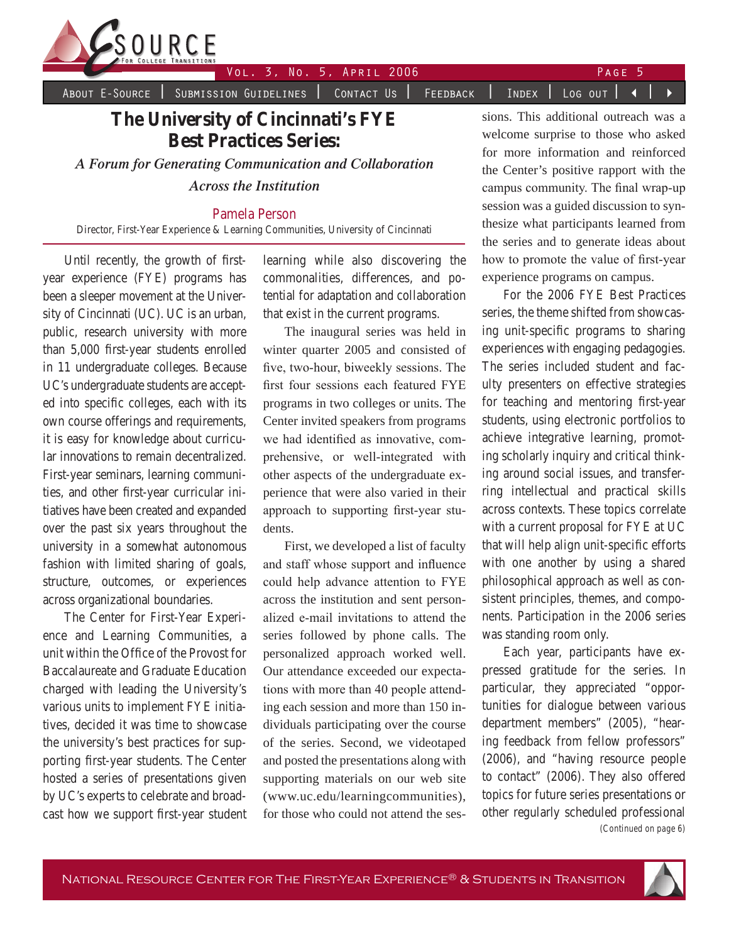

Vol. 3, No. 5, APRIL 2006 PAGE

About E-Source | Submission Guidelines | Contact Us | Feedback | Index | Log out | 4

# **The University of Cincinnati's FYE Best Practices Series:**

*A Forum for Generating Communication and Collaboration Across the Institution*

## Pamela Person

Director, First-Year Experience & Learning Communities, University of Cincinnati

Until recently, the growth of firstyear experience (FYE) programs has been a sleeper movement at the University of Cincinnati (UC). UC is an urban, public, research university with more than 5,000 first-year students enrolled in 11 undergraduate colleges. Because UC's undergraduate students are accepted into specific colleges, each with its own course offerings and requirements, it is easy for knowledge about curricular innovations to remain decentralized. First-year seminars, learning communities, and other first-year curricular initiatives have been created and expanded over the past six years throughout the university in a somewhat autonomous fashion with limited sharing of goals, structure, outcomes, or experiences across organizational boundaries.

The Center for First-Year Experience and Learning Communities, a unit within the Office of the Provost for Baccalaureate and Graduate Education charged with leading the University's various units to implement FYE initiatives, decided it was time to showcase the university's best practices for supporting first-year students. The Center hosted a series of presentations given by UC's experts to celebrate and broadcast how we support first-year student learning while also discovering the commonalities, differences, and potential for adaptation and collaboration that exist in the current programs.

The inaugural series was held in winter quarter 2005 and consisted of five, two-hour, biweekly sessions. The first four sessions each featured FYE programs in two colleges or units. The Center invited speakers from programs we had identified as innovative, comprehensive, or well-integrated with other aspects of the undergraduate experience that were also varied in their approach to supporting first-year students.

First, we developed a list of faculty and staff whose support and influence could help advance attention to FYE across the institution and sent personalized e-mail invitations to attend the series followed by phone calls. The personalized approach worked well. Our attendance exceeded our expectations with more than 40 people attending each session and more than 150 individuals participating over the course of the series. Second, we videotaped and posted the presentations along with supporting materials on our web site (www.uc.edu/learningcommunities), for those who could not attend the ses-

sions. This additional outreach was a welcome surprise to those who asked for more information and reinforced the Center's positive rapport with the campus community. The final wrap-up session was a guided discussion to synthesize what participants learned from the series and to generate ideas about how to promote the value of first-year experience programs on campus.

For the 2006 FYE Best Practices series, the theme shifted from showcasing unit-specific programs to sharing experiences with engaging pedagogies. The series included student and faculty presenters on effective strategies for teaching and mentoring first-year students, using electronic portfolios to achieve integrative learning, promoting scholarly inquiry and critical thinking around social issues, and transferring intellectual and practical skills across contexts. These topics correlate with a current proposal for FYE at UC that will help align unit-specific efforts with one another by using a shared philosophical approach as well as consistent principles, themes, and components. Participation in the 2006 series was standing room only.

*(Continued on page 6)* Each year, participants have expressed gratitude for the series. In particular, they appreciated "opportunities for dialogue between various department members" (2005), "hearing feedback from fellow professors" (2006), and "having resource people to contact" (2006). They also offered topics for future series presentations or other regularly scheduled professional

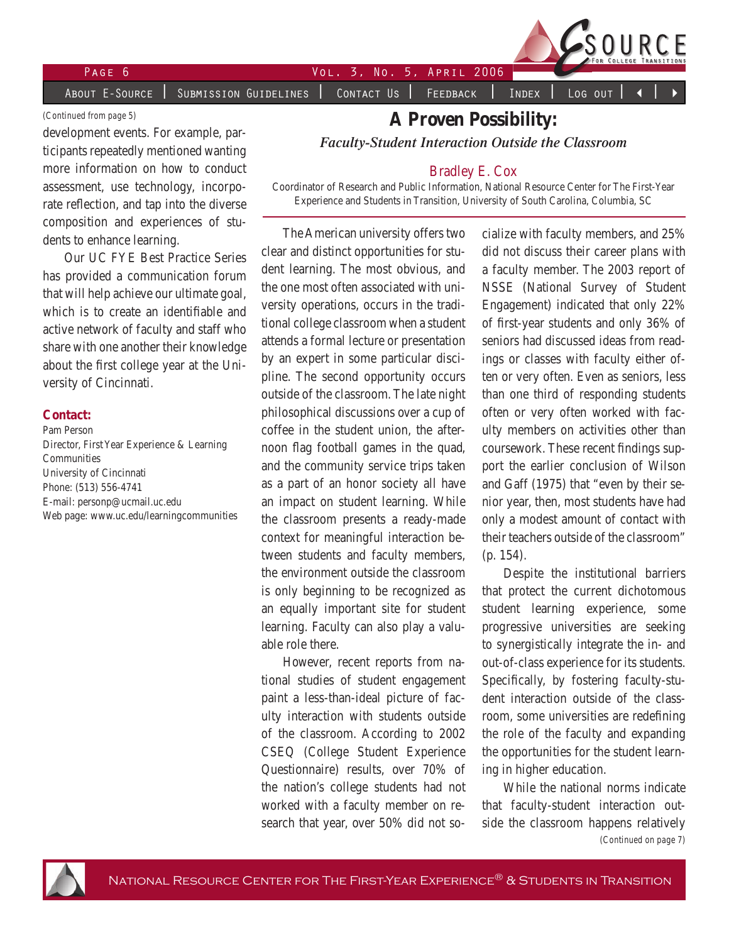About E-Source | Submission Guidelines | Contact Us | Feedback | Index | Log out

#### *(Continued from page 5)*

development events. For example, participants repeatedly mentioned wanting more information on how to conduct assessment, use technology, incorporate reflection, and tap into the diverse composition and experiences of students to enhance learning.

Our UC FYE Best Practice Series has provided a communication forum that will help achieve our ultimate goal, which is to create an identifiable and active network of faculty and staff who share with one another their knowledge about the first college year at the University of Cincinnati.

### **Contact:**

Pam Person Director, First Year Experience & Learning Communities University of Cincinnati Phone: (513) 556-4741 E-mail: personp@ucmail.uc.edu Web page: www.uc.edu/learningcommunities

## **A Proven Possibility:**

*Faculty-Student Interaction Outside the Classroom*

#### Bradley E. Cox

Coordinator of Research and Public Information, National Resource Center for The First-Year Experience and Students in Transition, University of South Carolina, Columbia, SC

The American university offers two clear and distinct opportunities for student learning. The most obvious, and the one most often associated with university operations, occurs in the traditional college classroom when a student attends a formal lecture or presentation by an expert in some particular discipline. The second opportunity occurs outside of the classroom. The late night philosophical discussions over a cup of coffee in the student union, the afternoon flag football games in the quad, and the community service trips taken as a part of an honor society all have an impact on student learning. While the classroom presents a ready-made context for meaningful interaction between students and faculty members, the environment outside the classroom is only beginning to be recognized as an equally important site for student learning. Faculty can also play a valuable role there.

However, recent reports from national studies of student engagement paint a less-than-ideal picture of faculty interaction with students outside of the classroom. According to 2002 CSEQ (College Student Experience Questionnaire) results, over 70% of the nation's college students had not worked with a faculty member on research that year, over 50% did not socialize with faculty members, and 25% did not discuss their career plans with a faculty member. The 2003 report of NSSE (National Survey of Student Engagement) indicated that only 22% of first-year students and only 36% of seniors had discussed ideas from readings or classes with faculty either often or very often. Even as seniors, less than one third of responding students often or very often worked with faculty members on activities other than coursework. These recent findings support the earlier conclusion of Wilson and Gaff (1975) that "even by their senior year, then, most students have had only a modest amount of contact with their teachers outside of the classroom" (p. 154).

Despite the institutional barriers that protect the current dichotomous student learning experience, some progressive universities are seeking to synergistically integrate the in- and out-of-class experience for its students. Specifically, by fostering faculty-student interaction outside of the classroom, some universities are redefining the role of the faculty and expanding the opportunities for the student learning in higher education.

*(Continued on page 7)* While the national norms indicate that faculty-student interaction outside the classroom happens relatively

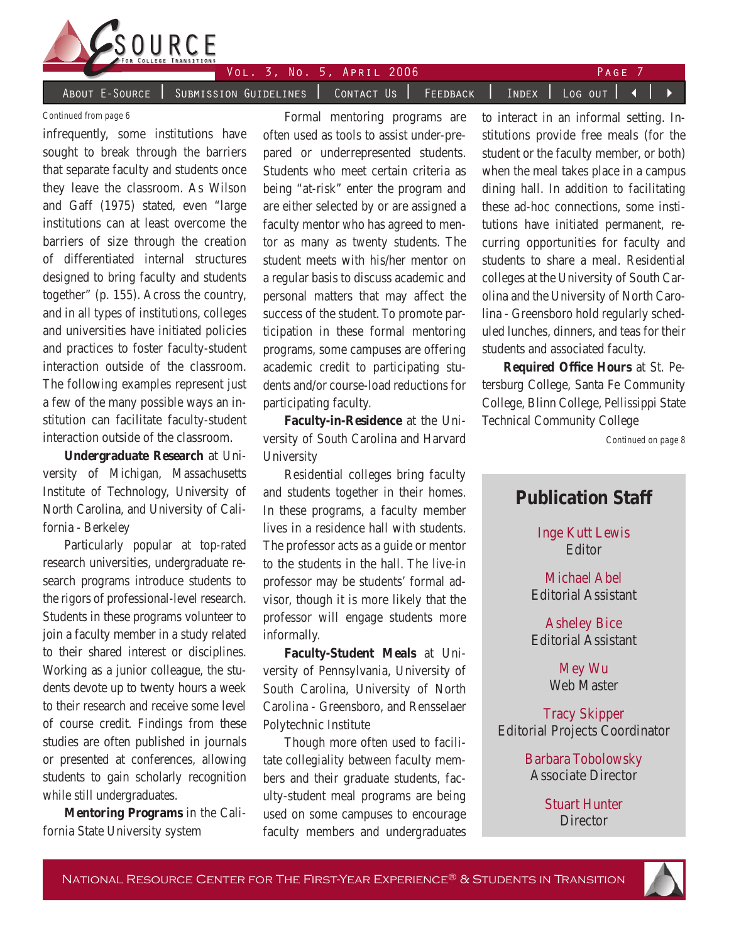

About E-Source | Submission Guidelines | Contact Us | Feedback | Index | Log out | 4

Vol. 3, No. 5, April 2006 Page

#### *Continued from page 6*

infrequently, some institutions have sought to break through the barriers that separate faculty and students once they leave the classroom. As Wilson and Gaff (1975) stated, even "large institutions can at least overcome the barriers of size through the creation of differentiated internal structures designed to bring faculty and students together" (p. 155). Across the country, and in all types of institutions, colleges and universities have initiated policies and practices to foster faculty-student interaction outside of the classroom. The following examples represent just a few of the many possible ways an institution can facilitate faculty-student interaction outside of the classroom.

**Undergraduate Research** at University of Michigan, Massachusetts Institute of Technology, University of North Carolina, and University of California - Berkeley

Particularly popular at top-rated research universities, undergraduate research programs introduce students to the rigors of professional-level research. Students in these programs volunteer to join a faculty member in a study related to their shared interest or disciplines. Working as a junior colleague, the students devote up to twenty hours a week to their research and receive some level of course credit. Findings from these studies are often published in journals or presented at conferences, allowing students to gain scholarly recognition while still undergraduates.

**Mentoring Programs** in the California State University system

Formal mentoring programs are often used as tools to assist under-prepared or underrepresented students. Students who meet certain criteria as being "at-risk" enter the program and are either selected by or are assigned a faculty mentor who has agreed to mentor as many as twenty students. The student meets with his/her mentor on a regular basis to discuss academic and personal matters that may affect the success of the student. To promote participation in these formal mentoring programs, some campuses are offering academic credit to participating students and/or course-load reductions for participating faculty.

**Faculty-in-Residence** at the University of South Carolina and Harvard University

Residential colleges bring faculty and students together in their homes. In these programs, a faculty member lives in a residence hall with students. The professor acts as a guide or mentor to the students in the hall. The live-in professor may be students' formal advisor, though it is more likely that the professor will engage students more informally.

**Faculty-Student Meals** at University of Pennsylvania, University of South Carolina, University of North Carolina - Greensboro, and Rensselaer Polytechnic Institute

Though more often used to facilitate collegiality between faculty members and their graduate students, faculty-student meal programs are being used on some campuses to encourage faculty members and undergraduates to interact in an informal setting. Institutions provide free meals (for the student or the faculty member, or both) when the meal takes place in a campus dining hall. In addition to facilitating these ad-hoc connections, some institutions have initiated permanent, recurring opportunities for faculty and students to share a meal. Residential colleges at the University of South Carolina and the University of North Carolina - Greensboro hold regularly scheduled lunches, dinners, and teas for their students and associated faculty.

**Required Office Hours** at St. Petersburg College, Santa Fe Community College, Blinn College, Pellissippi State Technical Community College

*Continued on page 8*

# **Publication Staff**

Inge Kutt Lewis Editor

Michael Abel Editorial Assistant

Asheley Bice Editorial Assistant

> Mey Wu Web Master

Tracy Skipper Editorial Projects Coordinator

> Barbara Tobolowsky Associate Director

> > Stuart Hunter **Director**

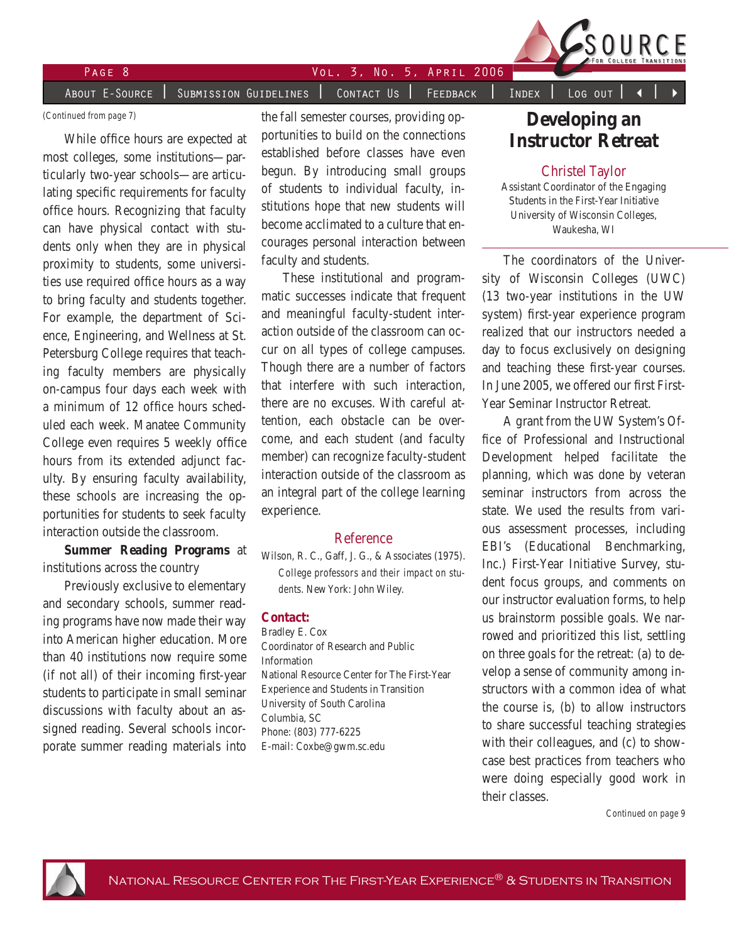

# Page Vol. 3, No. 5, April 2006

About E-Source | Submission Guidelines | Contact Us | Feedback | Index | Log out

#### *(Continued from page 7)*

While office hours are expected at most colleges, some institutions—particularly two-year schools—are articulating specific requirements for faculty office hours. Recognizing that faculty can have physical contact with students only when they are in physical proximity to students, some universities use required office hours as a way to bring faculty and students together. For example, the department of Science, Engineering, and Wellness at St. Petersburg College requires that teaching faculty members are physically on-campus four days each week with a minimum of 12 office hours scheduled each week. Manatee Community College even requires 5 weekly office hours from its extended adjunct faculty. By ensuring faculty availability, these schools are increasing the opportunities for students to seek faculty interaction outside the classroom.

**Summer Reading Programs** at institutions across the country

Previously exclusive to elementary and secondary schools, summer reading programs have now made their way into American higher education. More than 40 institutions now require some (if not all) of their incoming first-year students to participate in small seminar discussions with faculty about an assigned reading. Several schools incorporate summer reading materials into the fall semester courses, providing opportunities to build on the connections established before classes have even begun. By introducing small groups of students to individual faculty, institutions hope that new students will become acclimated to a culture that encourages personal interaction between faculty and students.

These institutional and programmatic successes indicate that frequent and meaningful faculty-student interaction outside of the classroom can occur on all types of college campuses. Though there are a number of factors that interfere with such interaction, there are no excuses. With careful attention, each obstacle can be overcome, and each student (and faculty member) can recognize faculty-student interaction outside of the classroom as an integral part of the college learning experience.

### Reference

Wilson, R. C., Gaff, J. G., & Associates (1975). *College professors and their impact on students*. New York: John Wiley.

#### **Contact:**

Bradley E. Cox Coordinator of Research and Public Information National Resource Center for The First-Year Experience and Students in Transition University of South Carolina Columbia, SC Phone: (803) 777-6225 E-mail: Coxbe@gwm.sc.edu

# **Developing an Instructor Retreat**

### Christel Taylor

Assistant Coordinator of the Engaging Students in the First-Year Initiative University of Wisconsin Colleges, Waukesha, WI

The coordinators of the University of Wisconsin Colleges (UWC) (13 two-year institutions in the UW system) first-year experience program realized that our instructors needed a day to focus exclusively on designing and teaching these first-year courses. In June 2005, we offered our first First-Year Seminar Instructor Retreat.

A grant from the UW System's Office of Professional and Instructional Development helped facilitate the planning, which was done by veteran seminar instructors from across the state. We used the results from various assessment processes, including EBI's (Educational Benchmarking, Inc.) First-Year Initiative Survey, student focus groups, and comments on our instructor evaluation forms, to help us brainstorm possible goals. We narrowed and prioritized this list, settling on three goals for the retreat: (a) to develop a sense of community among instructors with a common idea of what the course is, (b) to allow instructors to share successful teaching strategies with their colleagues, and (c) to showcase best practices from teachers who were doing especially good work in their classes.

*Continued on page 9*

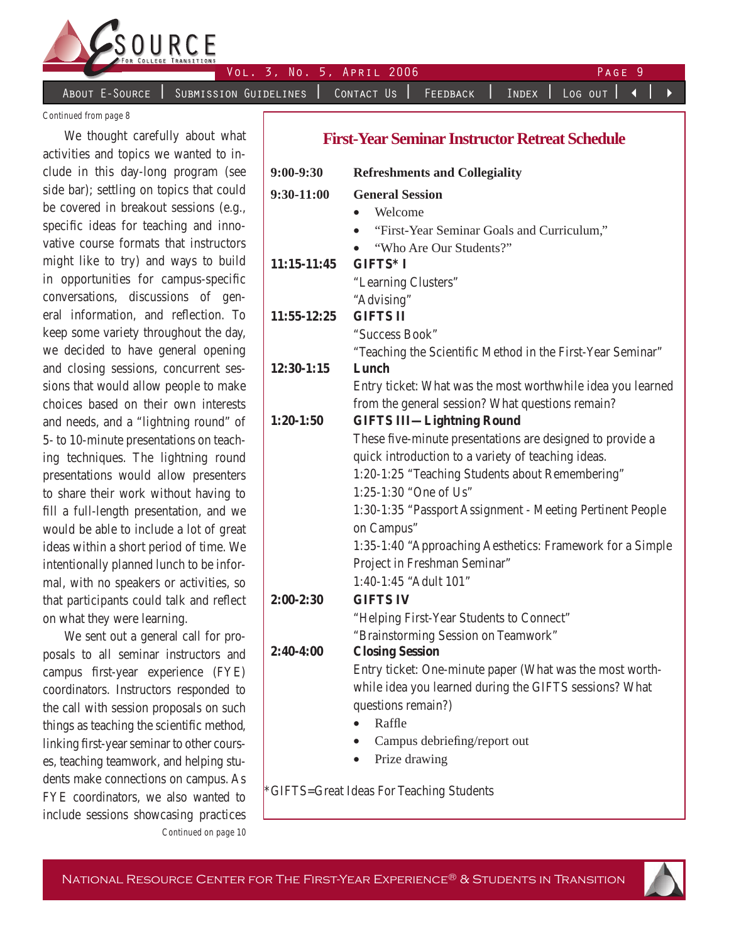

Vol. 3, No. 5, April 2006 Page

About E-Source | Submission Guidelines | Contact Us | Feedback | Index | Log out |

*Continued from page 8*

We thought carefully about what activities and topics we wanted to include in this day-long program (see side bar); settling on topics that could be covered in breakout sessions (e.g., specific ideas for teaching and innovative course formats that instructors might like to try) and ways to build in opportunities for campus-specific conversations, discussions of general information, and reflection. To keep some variety throughout the day, we decided to have general opening and closing sessions, concurrent sessions that would allow people to make choices based on their own interests and needs, and a "lightning round" of 5- to 10-minute presentations on teaching techniques. The lightning round presentations would allow presenters to share their work without having to fill a full-length presentation, and we would be able to include a lot of great ideas within a short period of time. We intentionally planned lunch to be informal, with no speakers or activities, so that participants could talk and reflect on what they were learning.

*Continued on page 10* We sent out a general call for proposals to all seminar instructors and campus first-year experience (FYE) coordinators. Instructors responded to the call with session proposals on such things as teaching the scientific method, linking first-year seminar to other courses, teaching teamwork, and helping students make connections on campus. As FYE coordinators, we also wanted to include sessions showcasing practices

## **First-Year Seminar Instructor Retreat Schedule**

| $9:00-9:30$ | <b>Refreshments and Collegiality</b>                        |
|-------------|-------------------------------------------------------------|
| 9:30-11:00  | <b>General Session</b>                                      |
|             | Welcome                                                     |
|             | "First-Year Seminar Goals and Curriculum,"<br>$\bullet$     |
|             | "Who Are Our Students?"                                     |
| 11:15-11:45 | GIFTS* I                                                    |
|             | "Learning Clusters"                                         |
|             | "Advising"                                                  |
| 11:55-12:25 | <b>GIFTS II</b>                                             |
|             | "Success Book"                                              |
|             | "Teaching the Scientific Method in the First-Year Seminar"  |
| 12:30-1:15  | Lunch                                                       |
|             | Entry ticket: What was the most worthwhile idea you learned |
|             | from the general session? What questions remain?            |
| $1:20-1:50$ | <b>GIFTS III-Lightning Round</b>                            |
|             | These five-minute presentations are designed to provide a   |
|             | quick introduction to a variety of teaching ideas.          |
|             | 1:20-1:25 "Teaching Students about Remembering"             |
|             | 1:25-1:30 "One of Us"                                       |
|             | 1:30-1:35 "Passport Assignment - Meeting Pertinent People   |
|             | on Campus"                                                  |
|             | 1:35-1:40 "Approaching Aesthetics: Framework for a Simple   |
|             | Project in Freshman Seminar"                                |
|             | 1:40-1:45 "Adult 101"                                       |
| $2:00-2:30$ | <b>GIFTS IV</b>                                             |
|             | "Helping First-Year Students to Connect"                    |
|             | "Brainstorming Session on Teamwork"                         |
| $2:40-4:00$ | <b>Closing Session</b>                                      |
|             | Entry ticket: One-minute paper (What was the most worth-    |
|             | while idea you learned during the GIFTS sessions? What      |
|             | questions remain?)                                          |
|             | Raffle                                                      |
|             | Campus debriefing/report out<br>$\bullet$                   |
|             | Prize drawing<br>$\bullet$                                  |
|             |                                                             |

\*GIFTS=Great Ideas For Teaching Students

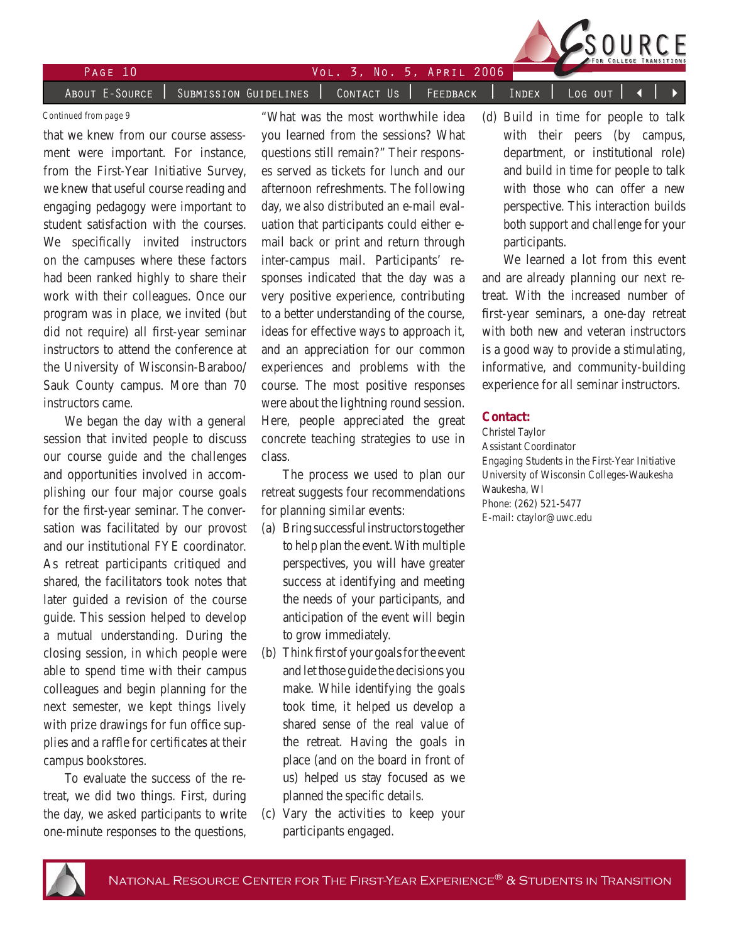

PAGE 10 VOL. 3, NO. 5, APRIL 2006

A<u>bout E-Source | Subm</u>ission Guidelines | Contact Us | Feedback | Index | Log out

that we knew from our course assessment were important. For instance, from the First-Year Initiative Survey, we knew that useful course reading and engaging pedagogy were important to student satisfaction with the courses. We specifically invited instructors on the campuses where these factors had been ranked highly to share their work with their colleagues. Once our program was in place, we invited (but did not require) all first-year seminar instructors to attend the conference at the University of Wisconsin-Baraboo/ Sauk County campus. More than 70 instructors came.

We began the day with a general session that invited people to discuss our course guide and the challenges and opportunities involved in accomplishing our four major course goals for the first-year seminar. The conversation was facilitated by our provost and our institutional FYE coordinator. As retreat participants critiqued and shared, the facilitators took notes that later guided a revision of the course guide. This session helped to develop a mutual understanding. During the closing session, in which people were able to spend time with their campus colleagues and begin planning for the next semester, we kept things lively with prize drawings for fun office supplies and a raffle for certificates at their campus bookstores.

To evaluate the success of the retreat, we did two things. First, during the day, we asked participants to write one-minute responses to the questions,

*Continued from page 9* "What was the most worthwhile idea (d) Build in time for people to talk "What was the most worthwhile idea you learned from the sessions? What questions still remain?" Their responses served as tickets for lunch and our afternoon refreshments. The following day, we also distributed an e-mail evaluation that participants could either email back or print and return through inter-campus mail. Participants' responses indicated that the day was a very positive experience, contributing to a better understanding of the course, ideas for effective ways to approach it, and an appreciation for our common experiences and problems with the course. The most positive responses were about the lightning round session. Here, people appreciated the great concrete teaching strategies to use in class.

> The process we used to plan our retreat suggests four recommendations for planning similar events:

- (a) Bring successful instructors together to help plan the event. With multiple perspectives, you will have greater success at identifying and meeting the needs of your participants, and anticipation of the event will begin to grow immediately.
- (b) Think first of your goals for the event and let those guide the decisions you make. While identifying the goals took time, it helped us develop a shared sense of the real value of the retreat. Having the goals in place (and on the board in front of us) helped us stay focused as we planned the specific details.
- (c) Vary the activities to keep your participants engaged.

with their peers (by campus, department, or institutional role) and build in time for people to talk with those who can offer a new perspective. This interaction builds both support and challenge for your participants.

We learned a lot from this event and are already planning our next retreat. With the increased number of first-year seminars, a one-day retreat with both new and veteran instructors is a good way to provide a stimulating, informative, and community-building experience for all seminar instructors.

#### **Contact:**

Christel Taylor Assistant Coordinator Engaging Students in the First-Year Initiative University of Wisconsin Colleges-Waukesha Waukesha, WI Phone: (262) 521-5477 E-mail: ctaylor@uwc.edu

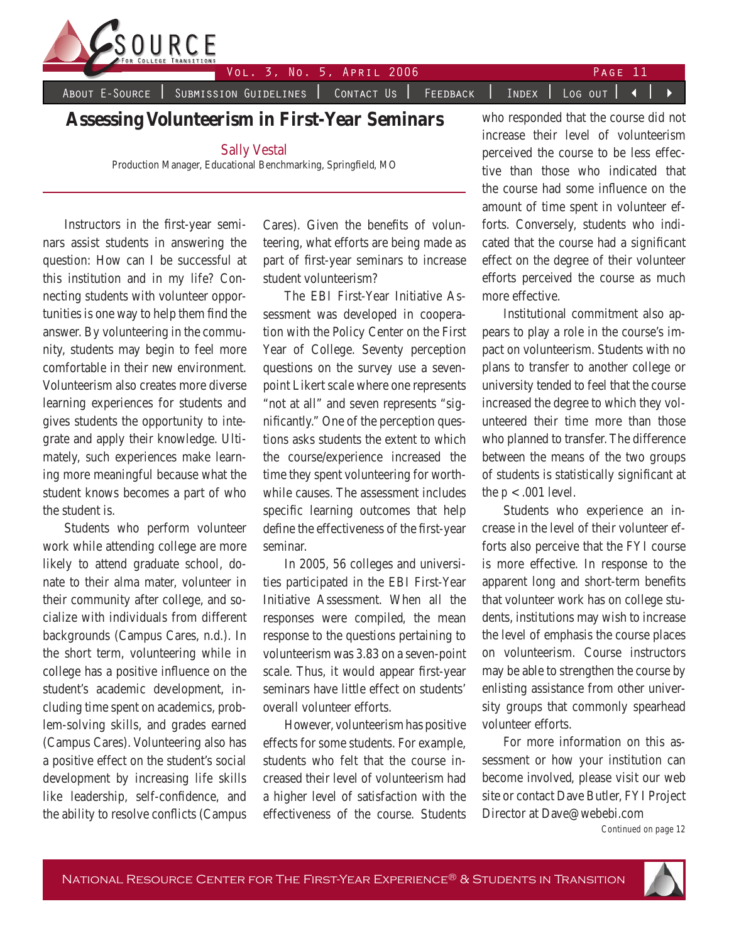

Vol. 3, No. 5, April 2006 Page 11

About E-Source | Submission Guidelines | Contact Us | Feedback | Index | Log out | < |

## **Assessing Volunteerism in First-Year Seminars**

Sally Vestal

Production Manager, Educational Benchmarking, Springfield, MO

Instructors in the first-year seminars assist students in answering the question: How can I be successful at this institution and in my life? Connecting students with volunteer opportunities is one way to help them find the answer. By volunteering in the community, students may begin to feel more comfortable in their new environment. Volunteerism also creates more diverse learning experiences for students and gives students the opportunity to integrate and apply their knowledge. Ultimately, such experiences make learning more meaningful because what the student knows becomes a part of who the student is.

Students who perform volunteer work while attending college are more likely to attend graduate school, donate to their alma mater, volunteer in their community after college, and socialize with individuals from different backgrounds (Campus Cares, n.d.). In the short term, volunteering while in college has a positive influence on the student's academic development, including time spent on academics, problem-solving skills, and grades earned (Campus Cares). Volunteering also has a positive effect on the student's social development by increasing life skills like leadership, self-confidence, and the ability to resolve conflicts (Campus Cares). Given the benefits of volunteering, what efforts are being made as part of first-year seminars to increase student volunteerism?

The EBI First-Year Initiative Assessment was developed in cooperation with the Policy Center on the First Year of College. Seventy perception questions on the survey use a sevenpoint Likert scale where one represents "not at all" and seven represents "significantly." One of the perception questions asks students the extent to which the course/experience increased the time they spent volunteering for worthwhile causes. The assessment includes specific learning outcomes that help define the effectiveness of the first-year seminar.

In 2005, 56 colleges and universities participated in the EBI First-Year Initiative Assessment. When all the responses were compiled, the mean response to the questions pertaining to volunteerism was 3.83 on a seven-point scale. Thus, it would appear first-year seminars have little effect on students' overall volunteer efforts.

However, volunteerism has positive effects for some students. For example, students who felt that the course increased their level of volunteerism had a higher level of satisfaction with the effectiveness of the course. Students

who responded that the course did not increase their level of volunteerism perceived the course to be less effective than those who indicated that the course had some influence on the amount of time spent in volunteer efforts. Conversely, students who indicated that the course had a significant effect on the degree of their volunteer efforts perceived the course as much more effective.

Institutional commitment also appears to play a role in the course's impact on volunteerism. Students with no plans to transfer to another college or university tended to feel that the course increased the degree to which they volunteered their time more than those who planned to transfer. The difference between the means of the two groups of students is statistically significant at the  $p < .001$  level.

Students who experience an increase in the level of their volunteer efforts also perceive that the FYI course is more effective. In response to the apparent long and short-term benefits that volunteer work has on college students, institutions may wish to increase the level of emphasis the course places on volunteerism. Course instructors may be able to strengthen the course by enlisting assistance from other university groups that commonly spearhead volunteer efforts.

For more information on this assessment or how your institution can become involved, please visit our web site or contact Dave Butler, FYI Project Director at Dave@webebi.com

*Continued on page 12*